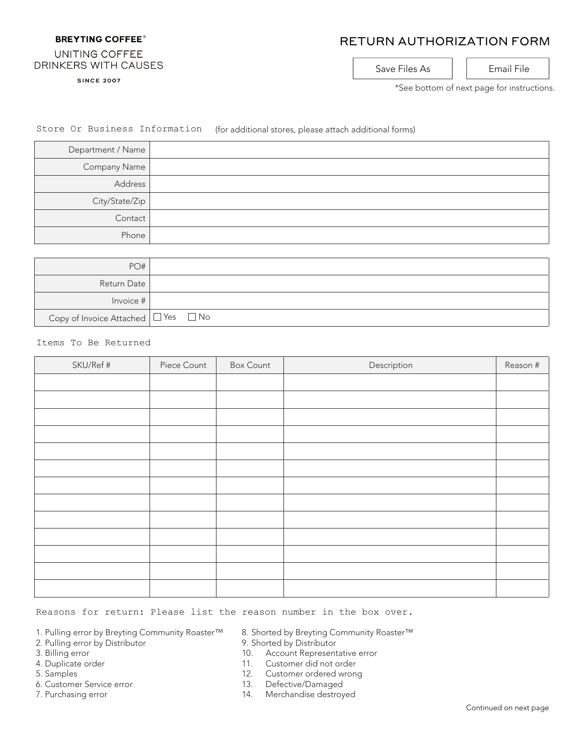## **BREYTING COFFEE®**

# RETURN AUTHORIZATION FORM

### UNITING COFFEE **DRINKERS WITH CAUSES**

**SINCE 2007** 

Save Files As | | Email File

\*See bottom of next page for instructions.

# Store Or Business Information (for additional stores, please attach additional forms)

| Department / Name |  |
|-------------------|--|
| Company Name      |  |
| Address           |  |
| City/State/Zip    |  |
| Contact           |  |
| Phone             |  |

| PO#                                           |  |
|-----------------------------------------------|--|
| Return Date                                   |  |
| Invoice $#$                                   |  |
| Copy of Invoice Attached $\Box$ Yes $\Box$ No |  |

#### Items To Be Returned

| SKU/Ref # | Piece Count | <b>Box Count</b> | Description | Reason # |
|-----------|-------------|------------------|-------------|----------|
|           |             |                  |             |          |
|           |             |                  |             |          |
|           |             |                  |             |          |
|           |             |                  |             |          |
|           |             |                  |             |          |
|           |             |                  |             |          |
|           |             |                  |             |          |
|           |             |                  |             |          |
|           |             |                  |             |          |
|           |             |                  |             |          |
|           |             |                  |             |          |
|           |             |                  |             |          |
|           |             |                  |             |          |

### Reasons for return: Please list the reason number in the box over.

- 1. Pulling error by Breyting Community Roaster™
- 2. Pulling error by Distributor
- 3. Billing error
- 4. Duplicate order
- 5. Samples
- 6. Customer Service error
- 7. Purchasing error
- 8. Shorted by Breyting Community Roaster™
- 9. Shorted by Distributor
- 10. Account Representative error
- 11. Customer did not order
- 12. Customer ordered wrong
- 13. Defective/Damaged
- 14. Merchandise destroyed